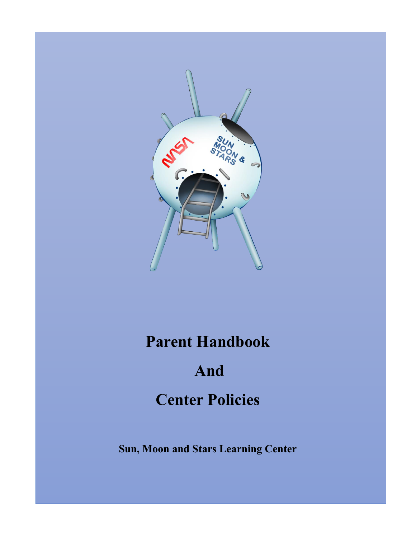

# **Parent Handbook**

# **And**

# **Center Policies**

**Sun, Moon and Stars Learning Center**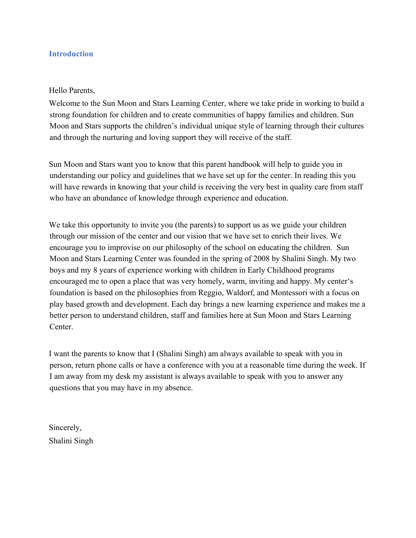#### **Introduction**

#### Hello Parents,

Welcome to the Sun Moon and Stars Learning Center, where we take pride in working to build a strong foundation for children and to create communities of happy families and children. Sun Moon and Stars supports the children's individual unique style of learning through their cultures and through the nurturing and loving support they will receive of the staff.

Sun Moon and Stars want you to know that this parent handbook will help to guide you in understanding our policy and guidelines that we have set up for the center. In reading this you will have rewards in knowing that your child is receiving the very best in quality care from staff who have an abundance of knowledge through experience and education.

We take this opportunity to invite you (the parents) to support us as we guide your children through our mission of the center and our vision that we have set to enrich their lives. We encourage you to improvise on our philosophy of the school on educating the children. Sun Moon and Stars Learning Center was founded in the spring of 2008 by Shalini Singh. My two boys and my 8 years of experience working with children in Early Childhood programs encouraged me to open a place that was very homely, warm, inviting and happy. My center's foundation is based on the philosophies from Reggio, Waldorf, and Montessori with a focus on play based growth and development. Each day brings a new learning experience and makes me a better person to understand children, staff and families here at Sun Moon and Stars Learning Center.

I want the parents to know that I (Shalini Singh) am always available to speak with you in person, return phone calls or have a conference with you at a reasonable time during the week. If I am away from my desk my assistant is always available to speak with you to answer any questions that you may have in my absence.

Sincerely, Shalini Singh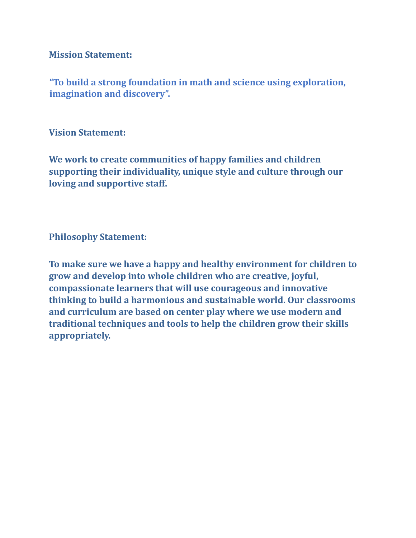**Mission Statement:** 

**"To build a strong foundation in math and science using exploration, imagination and discovery".** 

**Vision Statement:** 

**We work to create communities of happy families and children supporting their individuality, unique style and culture through our loving and supportive staff.** 

**Philosophy Statement:** 

**To make sure we have a happy and healthy environment for children to grow and develop into whole children who are creative, joyful, compassionate learners that will use courageous and innovative thinking to build a harmonious and sustainable world. Our classrooms and curriculum are based on center play where we use modern and traditional techniques and tools to help the children grow their skills appropriately.**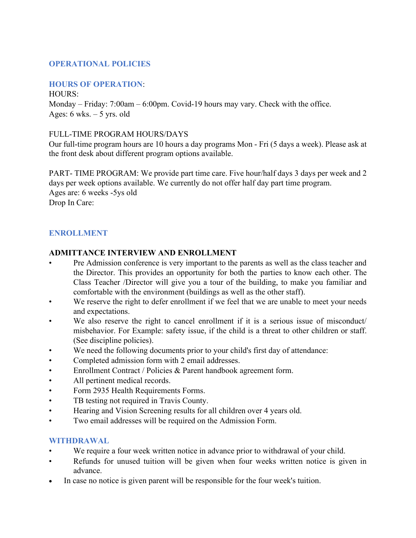# **OPERATIONAL POLICIES**

#### **HOURS OF OPERATION**:

HOURS:

Monday – Friday: 7:00am – 6:00pm. Covid-19 hours may vary. Check with the office. Ages:  $6$  wks.  $-5$  yrs. old

#### FULL-TIME PROGRAM HOURS/DAYS

Our full-time program hours are 10 hours a day programs Mon - Fri (5 days a week). Please ask at the front desk about different program options available.

PART- TIME PROGRAM: We provide part time care. Five hour/half days 3 days per week and 2 days per week options available. We currently do not offer half day part time program. Ages are: 6 weeks -5ys old Drop In Care:

#### **ENROLLMENT**

#### **ADMITTANCE INTERVIEW AND ENROLLMENT**

- Pre Admission conference is very important to the parents as well as the class teacher and the Director. This provides an opportunity for both the parties to know each other. The Class Teacher /Director will give you a tour of the building, to make you familiar and comfortable with the environment (buildings as well as the other staff).
- We reserve the right to defer enrollment if we feel that we are unable to meet your needs and expectations.
- We also reserve the right to cancel enrollment if it is a serious issue of misconduct/ misbehavior. For Example: safety issue, if the child is a threat to other children or staff. (See discipline policies).
- We need the following documents prior to your child's first day of attendance:
- Completed admission form with 2 email addresses.
- Enrollment Contract / Policies & Parent handbook agreement form.
- All pertinent medical records.
- Form 2935 Health Requirements Forms.
- TB testing not required in Travis County.
- Hearing and Vision Screening results for all children over 4 years old.
- Two email addresses will be required on the Admission Form.

#### **WITHDRAWAL**

- We require a four week written notice in advance prior to withdrawal of your child.
- Refunds for unused tuition will be given when four weeks written notice is given in advance.
- In case no notice is given parent will be responsible for the four week's tuition.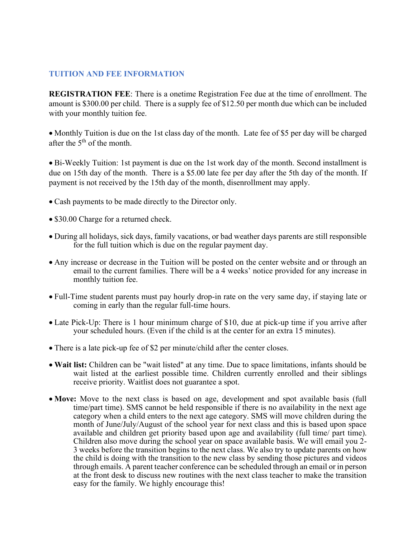#### **TUITION AND FEE INFORMATION**

**REGISTRATION FEE**: There is a onetime Registration Fee due at the time of enrollment. The amount is \$300.00 per child. There is a supply fee of \$12.50 per month due which can be included with your monthly tuition fee.

• Monthly Tuition is due on the 1st class day of the month. Late fee of \$5 per day will be charged after the 5<sup>th</sup> of the month.

• Bi-Weekly Tuition: 1st payment is due on the 1st work day of the month. Second installment is due on 15th day of the month. There is a \$5.00 late fee per day after the 5th day of the month. If payment is not received by the 15th day of the month, disenrollment may apply.

- Cash payments to be made directly to the Director only.
- \$30.00 Charge for a returned check.
- During all holidays, sick days, family vacations, or bad weather days parents are still responsible for the full tuition which is due on the regular payment day.
- Any increase or decrease in the Tuition will be posted on the center website and or through an email to the current families. There will be a 4 weeks' notice provided for any increase in monthly tuition fee.
- Full-Time student parents must pay hourly drop-in rate on the very same day, if staying late or coming in early than the regular full-time hours.
- Late Pick-Up: There is 1 hour minimum charge of \$10, due at pick-up time if you arrive after your scheduled hours. (Even if the child is at the center for an extra 15 minutes).
- There is a late pick-up fee of \$2 per minute/child after the center closes.
- **Wait list:** Children can be "wait listed" at any time. Due to space limitations, infants should be wait listed at the earliest possible time. Children currently enrolled and their siblings receive priority. Waitlist does not guarantee a spot.
- Move: Move to the next class is based on age, development and spot available basis (full time/part time). SMS cannot be held responsible if there is no availability in the next age category when a child enters to the next age category. SMS will move children during the month of June/July/August of the school year for next class and this is based upon space available and children get priority based upon age and availability (full time/ part time). Children also move during the school year on space available basis. We will email you 2- 3 weeks before the transition begins to the next class. We also try to update parents on how the child is doing with the transition to the new class by sending those pictures and videos through emails. A parent teacher conference can be scheduled through an email or in person at the front desk to discuss new routines with the next class teacher to make the transition easy for the family. We highly encourage this!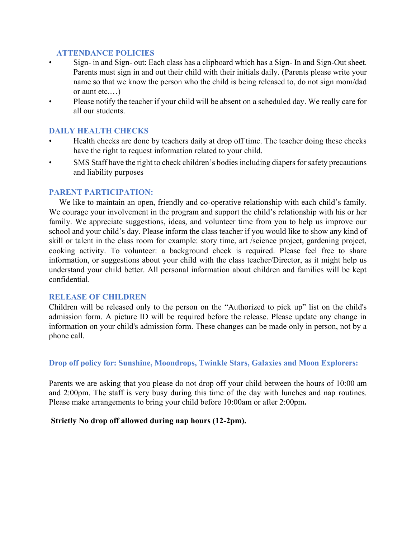#### **ATTENDANCE POLICIES**

- Sign- in and Sign- out: Each class has a clipboard which has a Sign- In and Sign-Out sheet. Parents must sign in and out their child with their initials daily. (Parents please write your name so that we know the person who the child is being released to, do not sign mom/dad or aunt etc.…)
- Please notify the teacher if your child will be absent on a scheduled day. We really care for all our students.

#### **DAILY HEALTH CHECKS**

- Health checks are done by teachers daily at drop off time. The teacher doing these checks have the right to request information related to your child.
- SMS Staff have the right to check children's bodies including diapers for safety precautions and liability purposes

#### **PARENT PARTICIPATION:**

We like to maintain an open, friendly and co-operative relationship with each child's family. We courage your involvement in the program and support the child's relationship with his or her family. We appreciate suggestions, ideas, and volunteer time from you to help us improve our school and your child's day. Please inform the class teacher if you would like to show any kind of skill or talent in the class room for example: story time, art /science project, gardening project, cooking activity. To volunteer: a background check is required. Please feel free to share information, or suggestions about your child with the class teacher/Director, as it might help us understand your child better. All personal information about children and families will be kept confidential.

#### **RELEASE OF CHILDREN**

Children will be released only to the person on the "Authorized to pick up" list on the child's admission form. A picture ID will be required before the release. Please update any change in information on your child's admission form. These changes can be made only in person, not by a phone call.

**Drop off policy for: Sunshine, Moondrops, Twinkle Stars, Galaxies and Moon Explorers:** 

Parents we are asking that you please do not drop off your child between the hours of 10:00 am and 2:00pm. The staff is very busy during this time of the day with lunches and nap routines. Please make arrangements to bring your child before 10:00am or after 2:00pm**.**

#### **Strictly No drop off allowed during nap hours (12-2pm).**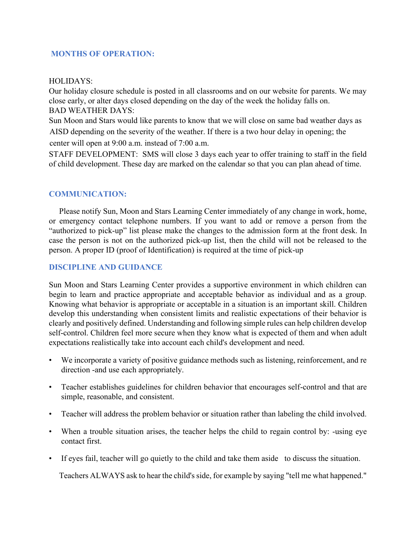#### **MONTHS OF OPERATION:**

#### HOLIDAYS:

Our holiday closure schedule is posted in all classrooms and on our website for parents. We may close early, or alter days closed depending on the day of the week the holiday falls on. BAD WEATHER DAYS:

Sun Moon and Stars would like parents to know that we will close on same bad weather days as AISD depending on the severity of the weather. If there is a two hour delay in opening; the center will open at 9:00 a.m. instead of 7:00 a.m.

STAFF DEVELOPMENT: SMS will close 3 days each year to offer training to staff in the field of child development. These day are marked on the calendar so that you can plan ahead of time.

#### **COMMUNICATION:**

 Please notify Sun, Moon and Stars Learning Center immediately of any change in work, home, or emergency contact telephone numbers. If you want to add or remove a person from the "authorized to pick-up" list please make the changes to the admission form at the front desk. In case the person is not on the authorized pick-up list, then the child will not be released to the person. A proper ID (proof of Identification) is required at the time of pick-up

#### **DISCIPLINE AND GUIDANCE**

Sun Moon and Stars Learning Center provides a supportive environment in which children can begin to learn and practice appropriate and acceptable behavior as individual and as a group. Knowing what behavior is appropriate or acceptable in a situation is an important skill. Children develop this understanding when consistent limits and realistic expectations of their behavior is clearly and positively defined. Understanding and following simple rules can help children develop self-control. Children feel more secure when they know what is expected of them and when adult expectations realistically take into account each child's development and need.

- We incorporate a variety of positive guidance methods such as listening, reinforcement, and re direction -and use each appropriately.
- Teacher establishes guidelines for children behavior that encourages self-control and that are simple, reasonable, and consistent.
- Teacher will address the problem behavior or situation rather than labeling the child involved.
- When a trouble situation arises, the teacher helps the child to regain control by: -using eye contact first.
- If eyes fail, teacher will go quietly to the child and take them aside to discuss the situation.

Teachers ALWAYS ask to hear the child's side, for example by saying "tell me what happened."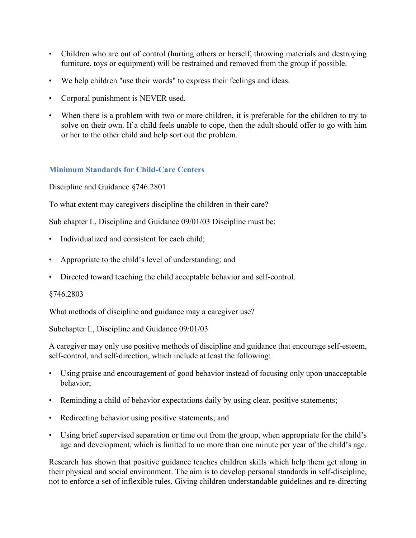- Children who are out of control (hurting others or herself, throwing materials and destroying furniture, toys or equipment) will be restrained and removed from the group if possible.
- We help children "use their words" to express their feelings and ideas.
- Corporal punishment is NEVER used.
- When there is a problem with two or more children, it is preferable for the children to try to solve on their own. If a child feels unable to cope, then the adult should offer to go with him or her to the other child and help sort out the problem.

# **Minimum Standards for Child-Care Centers**

Discipline and Guidance §746.2801

To what extent may caregivers discipline the children in their care?

Sub chapter L, Discipline and Guidance 09/01/03 Discipline must be:

- Individualized and consistent for each child;
- Appropriate to the child's level of understanding; and
- Directed toward teaching the child acceptable behavior and self-control.

#### §746.2803

What methods of discipline and guidance may a caregiver use?

Subchapter L, Discipline and Guidance 09/01/03

A caregiver may only use positive methods of discipline and guidance that encourage self-esteem, self-control, and self-direction, which include at least the following:

- Using praise and encouragement of good behavior instead of focusing only upon unacceptable behavior;
- Reminding a child of behavior expectations daily by using clear, positive statements;
- Redirecting behavior using positive statements; and
- Using brief supervised separation or time out from the group, when appropriate for the child's age and development, which is limited to no more than one minute per year of the child's age.

Research has shown that positive guidance teaches children skills which help them get along in their physical and social environment. The aim is to develop personal standards in self-discipline, not to enforce a set of inflexible rules. Giving children understandable guidelines and re-directing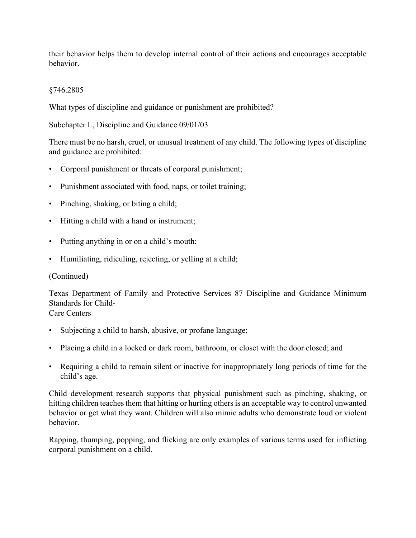their behavior helps them to develop internal control of their actions and encourages acceptable behavior.

#### §746.2805

What types of discipline and guidance or punishment are prohibited?

Subchapter L, Discipline and Guidance 09/01/03

There must be no harsh, cruel, or unusual treatment of any child. The following types of discipline and guidance are prohibited:

- Corporal punishment or threats of corporal punishment;
- Punishment associated with food, naps, or toilet training;
- Pinching, shaking, or biting a child;
- Hitting a child with a hand or instrument;
- Putting anything in or on a child's mouth;
- Humiliating, ridiculing, rejecting, or yelling at a child;

#### (Continued)

Texas Department of Family and Protective Services 87 Discipline and Guidance Minimum Standards for Child-

#### Care Centers

- Subjecting a child to harsh, abusive, or profane language;
- Placing a child in a locked or dark room, bathroom, or closet with the door closed; and
- Requiring a child to remain silent or inactive for inappropriately long periods of time for the child's age.

Child development research supports that physical punishment such as pinching, shaking, or hitting children teaches them that hitting or hurting others is an acceptable way to control unwanted behavior or get what they want. Children will also mimic adults who demonstrate loud or violent behavior.

Rapping, thumping, popping, and flicking are only examples of various terms used for inflicting corporal punishment on a child.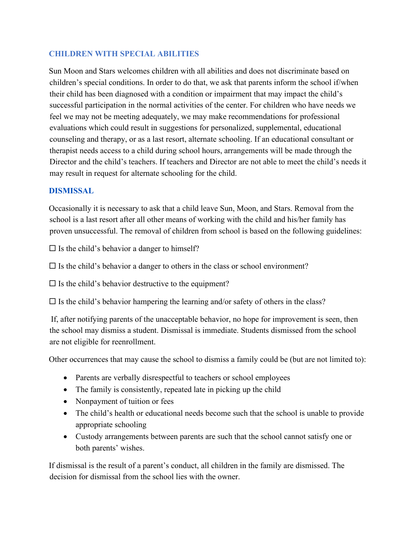#### **CHILDREN WITH SPECIAL ABILITIES**

Sun Moon and Stars welcomes children with all abilities and does not discriminate based on children's special conditions. In order to do that, we ask that parents inform the school if/when their child has been diagnosed with a condition or impairment that may impact the child's successful participation in the normal activities of the center. For children who have needs we feel we may not be meeting adequately, we may make recommendations for professional evaluations which could result in suggestions for personalized, supplemental, educational counseling and therapy, or as a last resort, alternate schooling. If an educational consultant or therapist needs access to a child during school hours, arrangements will be made through the Director and the child's teachers. If teachers and Director are not able to meet the child's needs it may result in request for alternate schooling for the child.

#### **DISMISSAL**

Occasionally it is necessary to ask that a child leave Sun, Moon, and Stars. Removal from the school is a last resort after all other means of working with the child and his/her family has proven unsuccessful. The removal of children from school is based on the following guidelines:

 $\square$  Is the child's behavior a danger to himself?

 $\Box$  Is the child's behavior a danger to others in the class or school environment?

 $\square$  Is the child's behavior destructive to the equipment?

 $\Box$  Is the child's behavior hampering the learning and/or safety of others in the class?

If, after notifying parents of the unacceptable behavior, no hope for improvement is seen, then the school may dismiss a student. Dismissal is immediate. Students dismissed from the school are not eligible for reenrollment.

Other occurrences that may cause the school to dismiss a family could be (but are not limited to):

- Parents are verbally disrespectful to teachers or school employees
- The family is consistently, repeated late in picking up the child
- Nonpayment of tuition or fees
- The child's health or educational needs become such that the school is unable to provide appropriate schooling
- Custody arrangements between parents are such that the school cannot satisfy one or both parents' wishes.

If dismissal is the result of a parent's conduct, all children in the family are dismissed. The decision for dismissal from the school lies with the owner.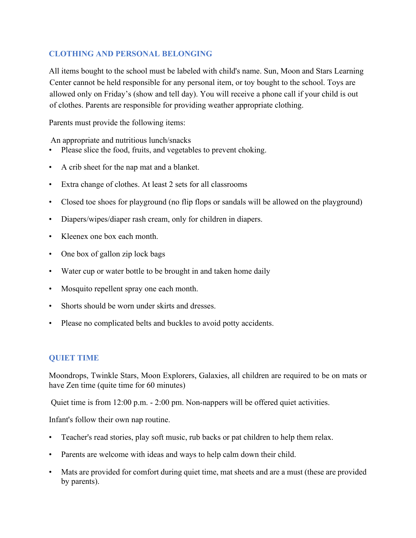# **CLOTHING AND PERSONAL BELONGING**

All items bought to the school must be labeled with child's name. Sun, Moon and Stars Learning Center cannot be held responsible for any personal item, or toy bought to the school. Toys are allowed only on Friday's (show and tell day). You will receive a phone call if your child is out of clothes. Parents are responsible for providing weather appropriate clothing.

Parents must provide the following items:

An appropriate and nutritious lunch/snacks

- Please slice the food, fruits, and vegetables to prevent choking.
- A crib sheet for the nap mat and a blanket.
- Extra change of clothes. At least 2 sets for all classrooms
- Closed toe shoes for playground (no flip flops or sandals will be allowed on the playground)
- Diapers/wipes/diaper rash cream, only for children in diapers.
- Kleenex one box each month.
- One box of gallon zip lock bags
- Water cup or water bottle to be brought in and taken home daily
- Mosquito repellent spray one each month.
- Shorts should be worn under skirts and dresses.
- Please no complicated belts and buckles to avoid potty accidents.

#### **QUIET TIME**

Moondrops, Twinkle Stars, Moon Explorers, Galaxies, all children are required to be on mats or have Zen time (quite time for 60 minutes)

Quiet time is from 12:00 p.m. - 2:00 pm. Non-nappers will be offered quiet activities.

Infant's follow their own nap routine.

- Teacher's read stories, play soft music, rub backs or pat children to help them relax.
- Parents are welcome with ideas and ways to help calm down their child.
- Mats are provided for comfort during quiet time, mat sheets and are a must (these are provided by parents).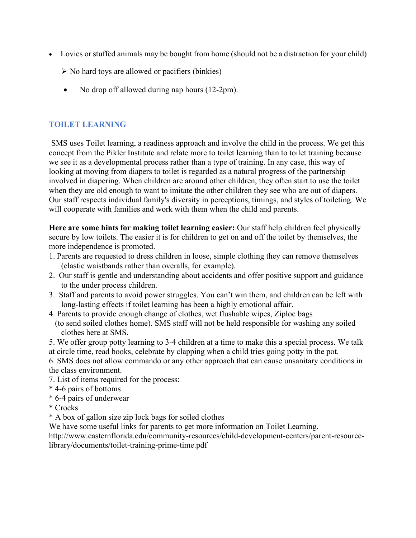- Lovies or stuffed animals may be bought from home (should not be a distraction for your child)
	- $\triangleright$  No hard toys are allowed or pacifiers (binkies)
	- No drop off allowed during nap hours (12-2pm).

# **TOILET LEARNING**

SMS uses Toilet learning, a readiness approach and involve the child in the process. We get this concept from the Pikler Institute and relate more to toilet learning than to toilet training because we see it as a developmental process rather than a type of training. In any case, this way of looking at moving from diapers to toilet is regarded as a natural progress of the partnership involved in diapering. When children are around other children, they often start to use the toilet when they are old enough to want to imitate the other children they see who are out of diapers. Our staff respects individual family's diversity in perceptions, timings, and styles of toileting. We will cooperate with families and work with them when the child and parents.

**Here are some hints for making toilet learning easier:** Our staff help children feel physically secure by low toilets. The easier it is for children to get on and off the toilet by themselves, the more independence is promoted.

- 1. Parents are requested to dress children in loose, simple clothing they can remove themselves (elastic waistbands rather than overalls, for example).
- 2. Our staff is gentle and understanding about accidents and offer positive support and guidance to the under process children.
- 3. Staff and parents to avoid power struggles. You can't win them, and children can be left with long-lasting effects if toilet learning has been a highly emotional affair.
- 4. Parents to provide enough change of clothes, wet flushable wipes, Ziploc bags (to send soiled clothes home). SMS staff will not be held responsible for washing any soiled clothes here at SMS.
- 5. We offer group potty learning to 3-4 children at a time to make this a special process. We talk at circle time, read books, celebrate by clapping when a child tries going potty in the pot.
- 6. SMS does not allow commando or any other approach that can cause unsanitary conditions in the class environment.
- 7. List of items required for the process:
- \* 4-6 pairs of bottoms
- \* 6-4 pairs of underwear
- \* Crocks
- \* A box of gallon size zip lock bags for soiled clothes

We have some useful links for parents to get more information on Toilet Learning.

http://www.easternflorida.edu/community-resources/child-development-centers/parent-resourcelibrary/documents/toilet-training-prime-time.pdf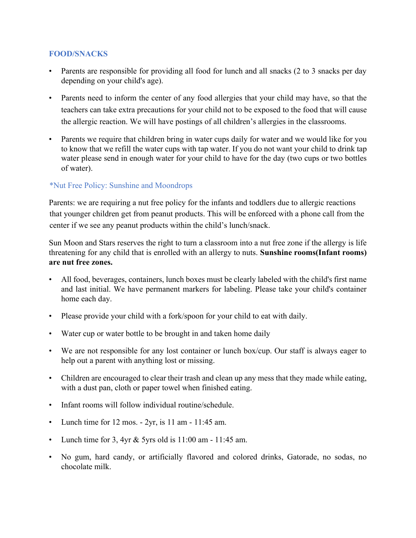#### **FOOD/SNACKS**

- Parents are responsible for providing all food for lunch and all snacks (2 to 3 snacks per day depending on your child's age).
- Parents need to inform the center of any food allergies that your child may have, so that the teachers can take extra precautions for your child not to be exposed to the food that will cause the allergic reaction. We will have postings of all children's allergies in the classrooms.
- Parents we require that children bring in water cups daily for water and we would like for you to know that we refill the water cups with tap water. If you do not want your child to drink tap water please send in enough water for your child to have for the day (two cups or two bottles of water).

# \*Nut Free Policy: Sunshine and Moondrops

Parents: we are requiring a nut free policy for the infants and toddlers due to allergic reactions that younger children get from peanut products. This will be enforced with a phone call from the center if we see any peanut products within the child's lunch/snack.

Sun Moon and Stars reserves the right to turn a classroom into a nut free zone if the allergy is life threatening for any child that is enrolled with an allergy to nuts. **Sunshine rooms(Infant rooms) are nut free zones.**

- All food, beverages, containers, lunch boxes must be clearly labeled with the child's first name and last initial. We have permanent markers for labeling. Please take your child's container home each day.
- Please provide your child with a fork/spoon for your child to eat with daily.
- Water cup or water bottle to be brought in and taken home daily
- We are not responsible for any lost container or lunch box/cup. Our staff is always eager to help out a parent with anything lost or missing.
- Children are encouraged to clear their trash and clean up any mess that they made while eating, with a dust pan, cloth or paper towel when finished eating.
- Infant rooms will follow individual routine/schedule.
- Lunch time for 12 mos. 2yr, is 11 am 11:45 am.
- Lunch time for 3, 4yr & 5yrs old is 11:00 am 11:45 am.
- No gum, hard candy, or artificially flavored and colored drinks, Gatorade, no sodas, no chocolate milk.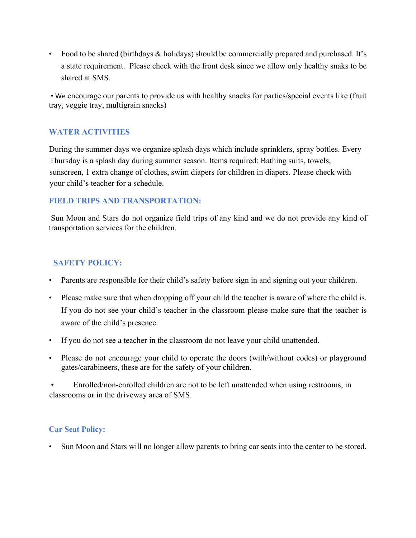• Food to be shared (birthdays & holidays) should be commercially prepared and purchased. It's a state requirement. Please check with the front desk since we allow only healthy snaks to be shared at SMS.

• We encourage our parents to provide us with healthy snacks for parties/special events like (fruit tray, veggie tray, multigrain snacks)

# **WATER ACTIVITIES**

During the summer days we organize splash days which include sprinklers, spray bottles. Every Thursday is a splash day during summer season. Items required: Bathing suits, towels, sunscreen, 1 extra change of clothes, swim diapers for children in diapers. Please check with your child's teacher for a schedule.

#### **FIELD TRIPS AND TRANSPORTATION:**

Sun Moon and Stars do not organize field trips of any kind and we do not provide any kind of transportation services for the children.

# **SAFETY POLICY:**

- Parents are responsible for their child's safety before sign in and signing out your children.
- Please make sure that when dropping off your child the teacher is aware of where the child is. If you do not see your child's teacher in the classroom please make sure that the teacher is aware of the child's presence.
- If you do not see a teacher in the classroom do not leave your child unattended.
- Please do not encourage your child to operate the doors (with/without codes) or playground gates/carabineers, these are for the safety of your children.

• Enrolled/non-enrolled children are not to be left unattended when using restrooms, in classrooms or in the driveway area of SMS.

# **Car Seat Policy:**

Sun Moon and Stars will no longer allow parents to bring car seats into the center to be stored.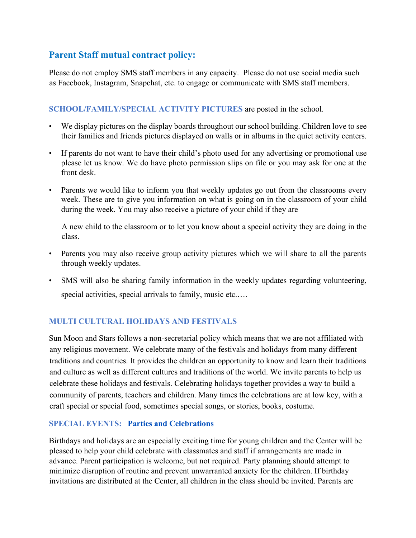# **Parent Staff mutual contract policy:**

Please do not employ SMS staff members in any capacity. Please do not use social media such as Facebook, Instagram, Snapchat, etc. to engage or communicate with SMS staff members.

# **SCHOOL/FAMILY/SPECIAL ACTIVITY PICTURES** are posted in the school.

- We display pictures on the display boards throughout our school building. Children love to see their families and friends pictures displayed on walls or in albums in the quiet activity centers.
- If parents do not want to have their child's photo used for any advertising or promotional use please let us know. We do have photo permission slips on file or you may ask for one at the front desk.
- Parents we would like to inform you that weekly updates go out from the classrooms every week. These are to give you information on what is going on in the classroom of your child during the week. You may also receive a picture of your child if they are

A new child to the classroom or to let you know about a special activity they are doing in the class.

- Parents you may also receive group activity pictures which we will share to all the parents through weekly updates.
- SMS will also be sharing family information in the weekly updates regarding volunteering, special activities, special arrivals to family, music etc.....

# **MULTI CULTURAL HOLIDAYS AND FESTIVALS**

Sun Moon and Stars follows a non-secretarial policy which means that we are not affiliated with any religious movement. We celebrate many of the festivals and holidays from many different traditions and countries. It provides the children an opportunity to know and learn their traditions and culture as well as different cultures and traditions of the world. We invite parents to help us celebrate these holidays and festivals. Celebrating holidays together provides a way to build a community of parents, teachers and children. Many times the celebrations are at low key, with a craft special or special food, sometimes special songs, or stories, books, costume.

#### **SPECIAL EVENTS: Parties and Celebrations**

Birthdays and holidays are an especially exciting time for young children and the Center will be pleased to help your child celebrate with classmates and staff if arrangements are made in advance. Parent participation is welcome, but not required. Party planning should attempt to minimize disruption of routine and prevent unwarranted anxiety for the children. If birthday invitations are distributed at the Center, all children in the class should be invited. Parents are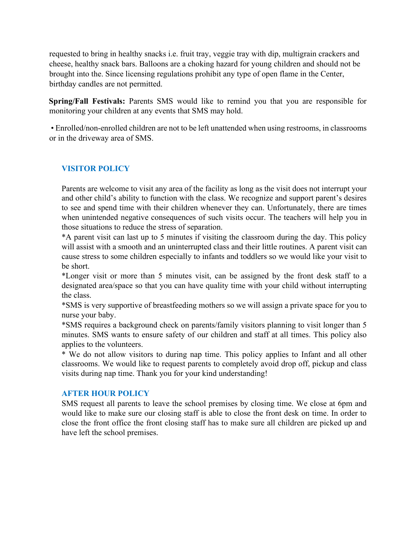requested to bring in healthy snacks i.e. fruit tray, veggie tray with dip, multigrain crackers and cheese, healthy snack bars. Balloons are a choking hazard for young children and should not be brought into the. Since licensing regulations prohibit any type of open flame in the Center, birthday candles are not permitted.

**Spring/Fall Festivals:** Parents SMS would like to remind you that you are responsible for monitoring your children at any events that SMS may hold.

• Enrolled/non-enrolled children are not to be left unattended when using restrooms, in classrooms or in the driveway area of SMS.

#### **VISITOR POLICY**

Parents are welcome to visit any area of the facility as long as the visit does not interrupt your and other child's ability to function with the class. We recognize and support parent's desires to see and spend time with their children whenever they can. Unfortunately, there are times when unintended negative consequences of such visits occur. The teachers will help you in those situations to reduce the stress of separation.

\*A parent visit can last up to 5 minutes if visiting the classroom during the day. This policy will assist with a smooth and an uninterrupted class and their little routines. A parent visit can cause stress to some children especially to infants and toddlers so we would like your visit to be short.

\*Longer visit or more than 5 minutes visit, can be assigned by the front desk staff to a designated area/space so that you can have quality time with your child without interrupting the class.

\*SMS is very supportive of breastfeeding mothers so we will assign a private space for you to nurse your baby.

\*SMS requires a background check on parents/family visitors planning to visit longer than 5 minutes. SMS wants to ensure safety of our children and staff at all times. This policy also applies to the volunteers.

\* We do not allow visitors to during nap time. This policy applies to Infant and all other classrooms. We would like to request parents to completely avoid drop off, pickup and class visits during nap time. Thank you for your kind understanding!

#### **AFTER HOUR POLICY**

SMS request all parents to leave the school premises by closing time. We close at 6pm and would like to make sure our closing staff is able to close the front desk on time. In order to close the front office the front closing staff has to make sure all children are picked up and have left the school premises.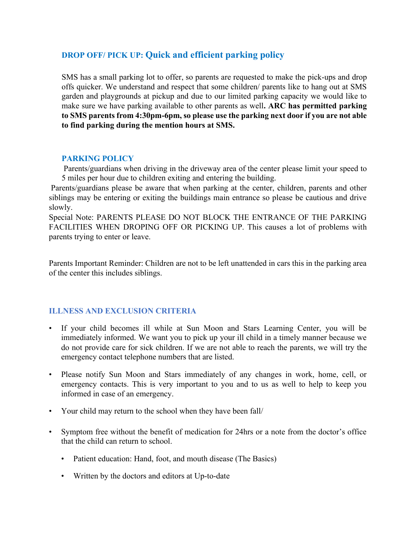# **DROP OFF/ PICK UP: Quick and efficient parking policy**

SMS has a small parking lot to offer, so parents are requested to make the pick-ups and drop offs quicker. We understand and respect that some children/ parents like to hang out at SMS garden and playgrounds at pickup and due to our limited parking capacity we would like to make sure we have parking available to other parents as well**. ARC has permitted parking to SMS parents from 4:30pm-6pm, so please use the parking next door if you are not able to find parking during the mention hours at SMS.** 

#### **PARKING POLICY**

Parents/guardians when driving in the driveway area of the center please limit your speed to 5 miles per hour due to children exiting and entering the building.

Parents/guardians please be aware that when parking at the center, children, parents and other siblings may be entering or exiting the buildings main entrance so please be cautious and drive slowly.

Special Note: PARENTS PLEASE DO NOT BLOCK THE ENTRANCE OF THE PARKING FACILITIES WHEN DROPING OFF OR PICKING UP. This causes a lot of problems with parents trying to enter or leave.

Parents Important Reminder: Children are not to be left unattended in cars this in the parking area of the center this includes siblings.

#### **ILLNESS AND EXCLUSION CRITERIA**

- If your child becomes ill while at Sun Moon and Stars Learning Center, you will be immediately informed. We want you to pick up your ill child in a timely manner because we do not provide care for sick children. If we are not able to reach the parents, we will try the emergency contact telephone numbers that are listed.
- Please notify Sun Moon and Stars immediately of any changes in work, home, cell, or emergency contacts. This is very important to you and to us as well to help to keep you informed in case of an emergency.
- Your child may return to the school when they have been fall/
- Symptom free without the benefit of medication for 24hrs or a note from the doctor's office that the child can return to school.
	- Patient education: Hand, foot, and mouth disease (The Basics)
	- Written by the doctors and editors at Up-to-date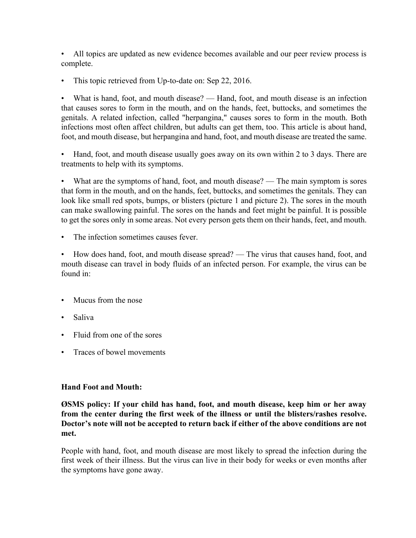• All topics are updated as new evidence becomes available and our peer review process is complete.

This topic retrieved from Up-to-date on: Sep 22, 2016.

• What is hand, foot, and mouth disease? — Hand, foot, and mouth disease is an infection that causes sores to form in the mouth, and on the hands, feet, buttocks, and sometimes the genitals. A related infection, called "herpangina," causes sores to form in the mouth. Both infections most often affect children, but adults can get them, too. This article is about hand, foot, and mouth disease, but herpangina and hand, foot, and mouth disease are treated the same.

• Hand, foot, and mouth disease usually goes away on its own within 2 to 3 days. There are treatments to help with its symptoms.

What are the symptoms of hand, foot, and mouth disease? — The main symptom is sores that form in the mouth, and on the hands, feet, buttocks, and sometimes the genitals. They can look like small red spots, bumps, or blisters (picture 1 and picture 2). The sores in the mouth can make swallowing painful. The sores on the hands and feet might be painful. It is possible to get the sores only in some areas. Not every person gets them on their hands, feet, and mouth.

• The infection sometimes causes fever.

• How does hand, foot, and mouth disease spread? — The virus that causes hand, foot, and mouth disease can travel in body fluids of an infected person. For example, the virus can be found in:

- Mucus from the nose
- Saliva
- Fluid from one of the sores
- Traces of bowel movements

#### **Hand Foot and Mouth:**

**ØSMS policy: If your child has hand, foot, and mouth disease, keep him or her away from the center during the first week of the illness or until the blisters/rashes resolve. Doctor's note will not be accepted to return back if either of the above conditions are not met.** 

People with hand, foot, and mouth disease are most likely to spread the infection during the first week of their illness. But the virus can live in their body for weeks or even months after the symptoms have gone away.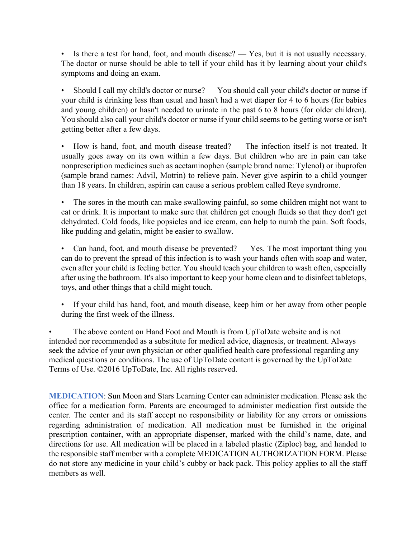• Is there a test for hand, foot, and mouth disease? — Yes, but it is not usually necessary. The doctor or nurse should be able to tell if your child has it by learning about your child's symptoms and doing an exam.

• Should I call my child's doctor or nurse? — You should call your child's doctor or nurse if your child is drinking less than usual and hasn't had a wet diaper for 4 to 6 hours (for babies and young children) or hasn't needed to urinate in the past 6 to 8 hours (for older children). You should also call your child's doctor or nurse if your child seems to be getting worse or isn't getting better after a few days.

• How is hand, foot, and mouth disease treated? — The infection itself is not treated. It usually goes away on its own within a few days. But children who are in pain can take nonprescription medicines such as acetaminophen (sample brand name: Tylenol) or ibuprofen (sample brand names: Advil, Motrin) to relieve pain. Never give aspirin to a child younger than 18 years. In children, aspirin can cause a serious problem called Reye syndrome.

The sores in the mouth can make swallowing painful, so some children might not want to eat or drink. It is important to make sure that children get enough fluids so that they don't get dehydrated. Cold foods, like popsicles and ice cream, can help to numb the pain. Soft foods, like pudding and gelatin, might be easier to swallow.

Can hand, foot, and mouth disease be prevented?  $-$  Yes. The most important thing you can do to prevent the spread of this infection is to wash your hands often with soap and water, even after your child is feeling better. You should teach your children to wash often, especially after using the bathroom. It's also important to keep your home clean and to disinfect tabletops, toys, and other things that a child might touch.

If your child has hand, foot, and mouth disease, keep him or her away from other people during the first week of the illness.

The above content on Hand Foot and Mouth is from UpToDate website and is not intended nor recommended as a substitute for medical advice, diagnosis, or treatment. Always seek the advice of your own physician or other qualified health care professional regarding any medical questions or conditions. The use of UpToDate content is governed by the UpToDate Terms of Use. ©2016 UpToDate, Inc. All rights reserved.

**MEDICATION**: Sun Moon and Stars Learning Center can administer medication. Please ask the office for a medication form. Parents are encouraged to administer medication first outside the center. The center and its staff accept no responsibility or liability for any errors or omissions regarding administration of medication. All medication must be furnished in the original prescription container, with an appropriate dispenser, marked with the child's name, date, and directions for use. All medication will be placed in a labeled plastic (Ziploc) bag, and handed to the responsible staff member with a complete MEDICATION AUTHORIZATION FORM. Please do not store any medicine in your child's cubby or back pack. This policy applies to all the staff members as well.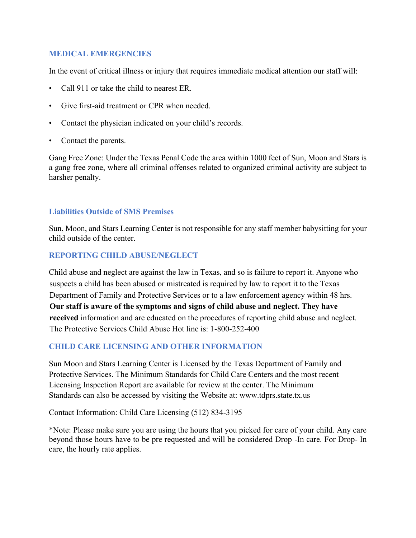#### **MEDICAL EMERGENCIES**

In the event of critical illness or injury that requires immediate medical attention our staff will:

- Call 911 or take the child to nearest ER.
- Give first-aid treatment or CPR when needed.
- Contact the physician indicated on your child's records.
- Contact the parents.

Gang Free Zone: Under the Texas Penal Code the area within 1000 feet of Sun, Moon and Stars is a gang free zone, where all criminal offenses related to organized criminal activity are subject to harsher penalty.

#### **Liabilities Outside of SMS Premises**

Sun, Moon, and Stars Learning Center is not responsible for any staff member babysitting for your child outside of the center.

#### **REPORTING CHILD ABUSE/NEGLECT**

Child abuse and neglect are against the law in Texas, and so is failure to report it. Anyone who suspects a child has been abused or mistreated is required by law to report it to the Texas Department of Family and Protective Services or to a law enforcement agency within 48 hrs. **Our staff is aware of the symptoms and signs of child abuse and neglect. They have received** information and are educated on the procedures of reporting child abuse and neglect. The Protective Services Child Abuse Hot line is: 1-800-252-400

#### **CHILD CARE LICENSING AND OTHER INFORMATION**

Sun Moon and Stars Learning Center is Licensed by the Texas Department of Family and Protective Services. The Minimum Standards for Child Care Centers and the most recent Licensing Inspection Report are available for review at the center. The Minimum Standards can also be accessed by visiting the Website at: www.tdprs.state.tx.us

Contact Information: Child Care Licensing (512) 834-3195

\*Note: Please make sure you are using the hours that you picked for care of your child. Any care beyond those hours have to be pre requested and will be considered Drop -In care. For Drop- In care, the hourly rate applies.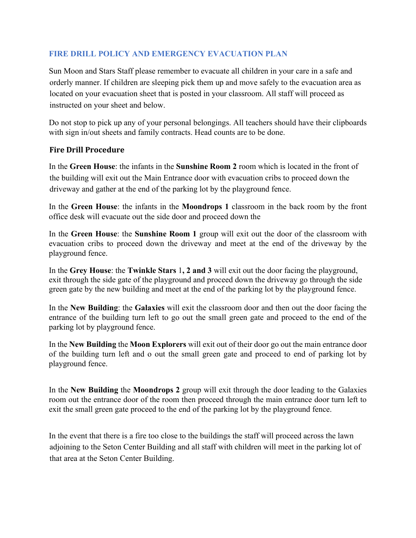# **FIRE DRILL POLICY AND EMERGENCY EVACUATION PLAN**

Sun Moon and Stars Staff please remember to evacuate all children in your care in a safe and orderly manner. If children are sleeping pick them up and move safely to the evacuation area as located on your evacuation sheet that is posted in your classroom. All staff will proceed as instructed on your sheet and below.

Do not stop to pick up any of your personal belongings. All teachers should have their clipboards with sign in/out sheets and family contracts. Head counts are to be done.

#### **Fire Drill Procedure**

In the **Green House**: the infants in the **Sunshine Room 2** room which is located in the front of the building will exit out the Main Entrance door with evacuation cribs to proceed down the driveway and gather at the end of the parking lot by the playground fence.

In the **Green House**: the infants in the **Moondrops 1** classroom in the back room by the front office desk will evacuate out the side door and proceed down the

In the **Green House**: the **Sunshine Room 1** group will exit out the door of the classroom with evacuation cribs to proceed down the driveway and meet at the end of the driveway by the playground fence.

In the **Grey House**: the **Twinkle Stars** 1**, 2 and 3** will exit out the door facing the playground, exit through the side gate of the playground and proceed down the driveway go through the side green gate by the new building and meet at the end of the parking lot by the playground fence.

In the **New Building**: the **Galaxies** will exit the classroom door and then out the door facing the entrance of the building turn left to go out the small green gate and proceed to the end of the parking lot by playground fence.

In the **New Building** the **Moon Explorers** will exit out of their door go out the main entrance door of the building turn left and o out the small green gate and proceed to end of parking lot by playground fence.

In the **New Building** the **Moondrops 2** group will exit through the door leading to the Galaxies room out the entrance door of the room then proceed through the main entrance door turn left to exit the small green gate proceed to the end of the parking lot by the playground fence.

In the event that there is a fire too close to the buildings the staff will proceed across the lawn adjoining to the Seton Center Building and all staff with children will meet in the parking lot of that area at the Seton Center Building.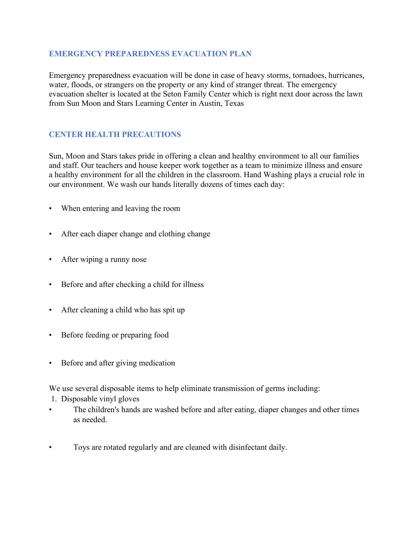#### **EMERGENCY PREPAREDNESS EVACUATION PLAN**

Emergency preparedness evacuation will be done in case of heavy storms, tornadoes, hurricanes, water, floods, or strangers on the property or any kind of stranger threat. The emergency evacuation shelter is located at the Seton Family Center which is right next door across the lawn from Sun Moon and Stars Learning Center in Austin, Texas

# **CENTER HEALTH PRECAUTIONS**

Sun, Moon and Stars takes pride in offering a clean and healthy environment to all our families and staff. Our teachers and house keeper work together as a team to minimize illness and ensure a healthy environment for all the children in the classroom. Hand Washing plays a crucial role in our environment. We wash our hands literally dozens of times each day:

- When entering and leaving the room
- After each diaper change and clothing change
- After wiping a runny nose
- Before and after checking a child for illness
- After cleaning a child who has spit up
- Before feeding or preparing food
- Before and after giving medication

We use several disposable items to help eliminate transmission of germs including:

- 1. Disposable vinyl gloves
- The children's hands are washed before and after eating, diaper changes and other times as needed.
- Toys are rotated regularly and are cleaned with disinfectant daily.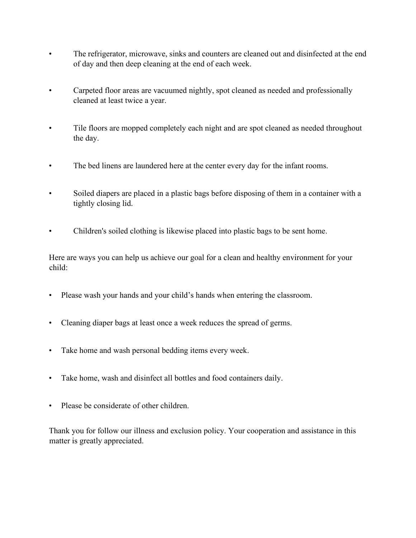- The refrigerator, microwave, sinks and counters are cleaned out and disinfected at the end of day and then deep cleaning at the end of each week.
- Carpeted floor areas are vacuumed nightly, spot cleaned as needed and professionally cleaned at least twice a year.
- Tile floors are mopped completely each night and are spot cleaned as needed throughout the day.
- The bed linens are laundered here at the center every day for the infant rooms.
- Soiled diapers are placed in a plastic bags before disposing of them in a container with a tightly closing lid.
- Children's soiled clothing is likewise placed into plastic bags to be sent home.

Here are ways you can help us achieve our goal for a clean and healthy environment for your child:

- Please wash your hands and your child's hands when entering the classroom.
- Cleaning diaper bags at least once a week reduces the spread of germs.
- Take home and wash personal bedding items every week.
- Take home, wash and disinfect all bottles and food containers daily.
- Please be considerate of other children.

Thank you for follow our illness and exclusion policy. Your cooperation and assistance in this matter is greatly appreciated.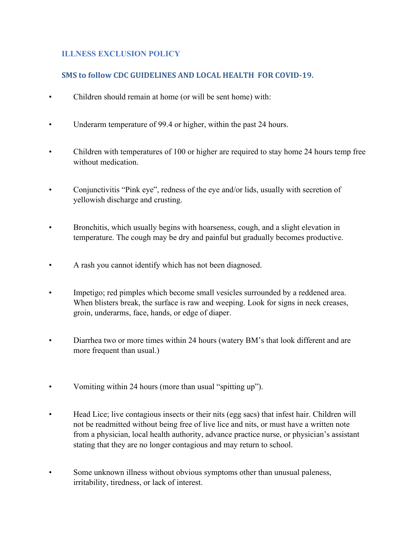# **ILLNESS EXCLUSION POLICY**

# **SMS to follow CDC GUIDELINES AND LOCAL HEALTH FOR COVID-19.**

- Children should remain at home (or will be sent home) with:
- Underarm temperature of 99.4 or higher, within the past 24 hours.
- Children with temperatures of 100 or higher are required to stay home 24 hours temp free without medication.
- Conjunctivitis "Pink eye", redness of the eye and/or lids, usually with secretion of yellowish discharge and crusting.
- Bronchitis, which usually begins with hoarseness, cough, and a slight elevation in temperature. The cough may be dry and painful but gradually becomes productive.
- A rash you cannot identify which has not been diagnosed.
- Impetigo; red pimples which become small vesicles surrounded by a reddened area. When blisters break, the surface is raw and weeping. Look for signs in neck creases, groin, underarms, face, hands, or edge of diaper.
- Diarrhea two or more times within 24 hours (watery BM's that look different and are more frequent than usual.)
- Vomiting within 24 hours (more than usual "spitting up").
- Head Lice; live contagious insects or their nits (egg sacs) that infest hair. Children will not be readmitted without being free of live lice and nits, or must have a written note from a physician, local health authority, advance practice nurse, or physician's assistant stating that they are no longer contagious and may return to school.
- Some unknown illness without obvious symptoms other than unusual paleness, irritability, tiredness, or lack of interest.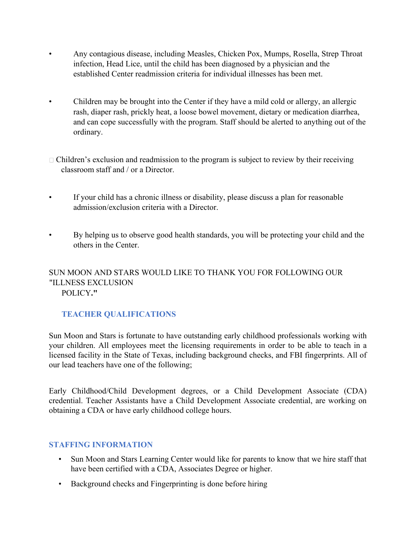- Any contagious disease, including Measles, Chicken Pox, Mumps, Rosella, Strep Throat infection, Head Lice, until the child has been diagnosed by a physician and the established Center readmission criteria for individual illnesses has been met.
- Children may be brought into the Center if they have a mild cold or allergy, an allergic rash, diaper rash, prickly heat, a loose bowel movement, dietary or medication diarrhea, and can cope successfully with the program. Staff should be alerted to anything out of the ordinary.
- $\Box$  Children's exclusion and readmission to the program is subject to review by their receiving classroom staff and / or a Director.
- If your child has a chronic illness or disability, please discuss a plan for reasonable admission/exclusion criteria with a Director.
- By helping us to observe good health standards, you will be protecting your child and the others in the Center.

# SUN MOON AND STARS WOULD LIKE TO THANK YOU FOR FOLLOWING OUR "ILLNESS EXCLUSION POLICY**."**

# **TEACHER QUALIFICATIONS**

Sun Moon and Stars is fortunate to have outstanding early childhood professionals working with your children. All employees meet the licensing requirements in order to be able to teach in a licensed facility in the State of Texas, including background checks, and FBI fingerprints. All of our lead teachers have one of the following;

Early Childhood/Child Development degrees, or a Child Development Associate (CDA) credential. Teacher Assistants have a Child Development Associate credential, are working on obtaining a CDA or have early childhood college hours.

#### **STAFFING INFORMATION**

- Sun Moon and Stars Learning Center would like for parents to know that we hire staff that have been certified with a CDA, Associates Degree or higher.
- Background checks and Fingerprinting is done before hiring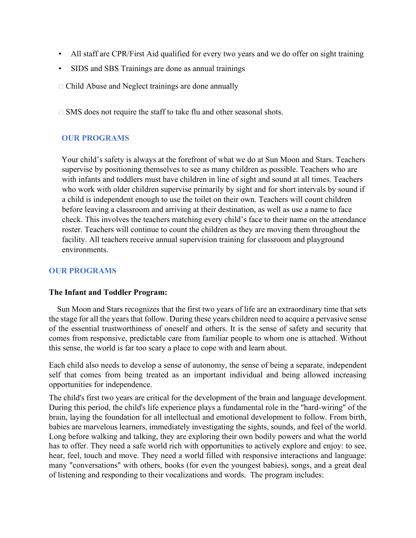- All staff are CPR/First Aid qualified for every two years and we do offer on sight training
- SIDS and SBS Trainings are done as annual trainings
- Child Abuse and Neglect trainings are done annually

 $\Box$  SMS does not require the staff to take flu and other seasonal shots.

# **OUR PROGRAMS**

Your child's safety is always at the forefront of what we do at Sun Moon and Stars. Teachers supervise by positioning themselves to see as many children as possible. Teachers who are with infants and toddlers must have children in line of sight and sound at all times. Teachers who work with older children supervise primarily by sight and for short intervals by sound if a child is independent enough to use the toilet on their own. Teachers will count children before leaving a classroom and arriving at their destination, as well as use a name to face check. This involves the teachers matching every child's face to their name on the attendance roster. Teachers will continue to count the children as they are moving them throughout the facility. All teachers receive annual supervision training for classroom and playground environments.

#### **OUR PROGRAMS**

#### **The Infant and Toddler Program:**

 Sun Moon and Stars recognizes that the first two years of life are an extraordinary time that sets the stage for all the years that follow. During these years children need to acquire a pervasive sense of the essential trustworthiness of oneself and others. It is the sense of safety and security that comes from responsive, predictable care from familiar people to whom one is attached. Without this sense, the world is far too scary a place to cope with and learn about.

Each child also needs to develop a sense of autonomy, the sense of being a separate, independent self that comes from being treated as an important individual and being allowed increasing opportunities for independence.

The child's first two years are critical for the development of the brain and language development. During this period, the child's life experience plays a fundamental role in the "hard-wiring" of the brain, laying the foundation for all intellectual and emotional development to follow. From birth, babies are marvelous learners, immediately investigating the sights, sounds, and feel of the world. Long before walking and talking, they are exploring their own bodily powers and what the world has to offer. They need a safe world rich with opportunities to actively explore and enjoy: to see, hear, feel, touch and move. They need a world filled with responsive interactions and language: many "conversations" with others, books (for even the youngest babies), songs, and a great deal of listening and responding to their vocalizations and words. The program includes: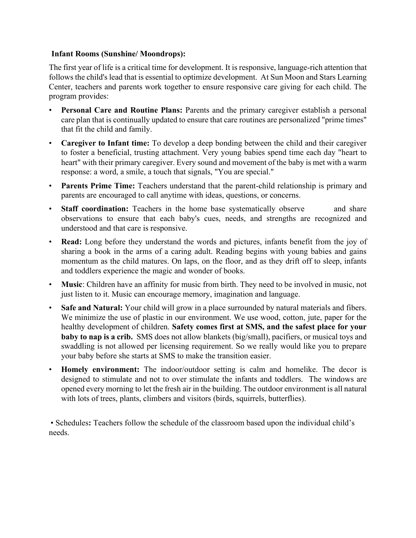#### **Infant Rooms (Sunshine/ Moondrops):**

The first year of life is a critical time for development. It is responsive, language-rich attention that follows the child's lead that is essential to optimize development. At Sun Moon and Stars Learning Center, teachers and parents work together to ensure responsive care giving for each child. The program provides:

- **Personal Care and Routine Plans:** Parents and the primary caregiver establish a personal care plan that is continually updated to ensure that care routines are personalized "prime times" that fit the child and family.
- **Caregiver to Infant time:** To develop a deep bonding between the child and their caregiver to foster a beneficial, trusting attachment. Very young babies spend time each day "heart to heart" with their primary caregiver. Every sound and movement of the baby is met with a warm response: a word, a smile, a touch that signals, "You are special."
- Parents Prime Time: Teachers understand that the parent-child relationship is primary and parents are encouraged to call anytime with ideas, questions, or concerns.
- **Staff coordination:** Teachers in the home base systematically observe and share observations to ensure that each baby's cues, needs, and strengths are recognized and understood and that care is responsive.
- **Read:** Long before they understand the words and pictures, infants benefit from the joy of sharing a book in the arms of a caring adult. Reading begins with young babies and gains momentum as the child matures. On laps, on the floor, and as they drift off to sleep, infants and toddlers experience the magic and wonder of books.
- **Music**: Children have an affinity for music from birth. They need to be involved in music, not just listen to it. Music can encourage memory, imagination and language.
- **Safe and Natural:** Your child will grow in a place surrounded by natural materials and fibers. We minimize the use of plastic in our environment. We use wood, cotton, jute, paper for the healthy development of children. **Safety comes first at SMS, and the safest place for your baby to nap is a crib.** SMS does not allow blankets (big/small), pacifiers, or musical toys and swaddling is not allowed per licensing requirement. So we really would like you to prepare your baby before she starts at SMS to make the transition easier.
- **Homely environment:** The indoor/outdoor setting is calm and homelike. The decor is designed to stimulate and not to over stimulate the infants and toddlers. The windows are opened every morning to let the fresh air in the building. The outdoor environment is all natural with lots of trees, plants, climbers and visitors (birds, squirrels, butterflies).

• Schedules**:** Teachers follow the schedule of the classroom based upon the individual child's needs.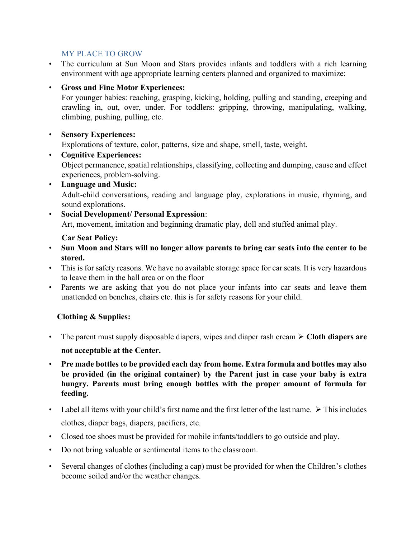#### MY PLACE TO GROW

• The curriculum at Sun Moon and Stars provides infants and toddlers with a rich learning environment with age appropriate learning centers planned and organized to maximize:

# • **Gross and Fine Motor Experiences:**

For younger babies: reaching, grasping, kicking, holding, pulling and standing, creeping and crawling in, out, over, under. For toddlers: gripping, throwing, manipulating, walking, climbing, pushing, pulling, etc.

# • **Sensory Experiences:**

Explorations of texture, color, patterns, size and shape, smell, taste, weight.

- **Cognitive Experiences:**  Object permanence, spatial relationships, classifying, collecting and dumping, cause and effect experiences, problem-solving.
- **Language and Music:**  Adult-child conversations, reading and language play, explorations in music, rhyming, and sound explorations.
- **Social Development/ Personal Expression**:

Art, movement, imitation and beginning dramatic play, doll and stuffed animal play.

#### **Car Seat Policy:**

- **Sun Moon and Stars will no longer allow parents to bring car seats into the center to be stored.**
- This is for safety reasons. We have no available storage space for car seats. It is very hazardous to leave them in the hall area or on the floor
- Parents we are asking that you do not place your infants into car seats and leave them unattended on benches, chairs etc. this is for safety reasons for your child.

# **Clothing & Supplies:**

- The parent must supply disposable diapers, wipes and diaper rash cream ➢ **Cloth diapers are not acceptable at the Center.**
- **Pre made bottles to be provided each day from home. Extra formula and bottles may also be provided (in the original container) by the Parent just in case your baby is extra hungry. Parents must bring enough bottles with the proper amount of formula for feeding.**
- Label all items with your child's first name and the first letter of the last name.  $\triangleright$  This includes clothes, diaper bags, diapers, pacifiers, etc.
- Closed toe shoes must be provided for mobile infants/toddlers to go outside and play.
- Do not bring valuable or sentimental items to the classroom.
- Several changes of clothes (including a cap) must be provided for when the Children's clothes become soiled and/or the weather changes.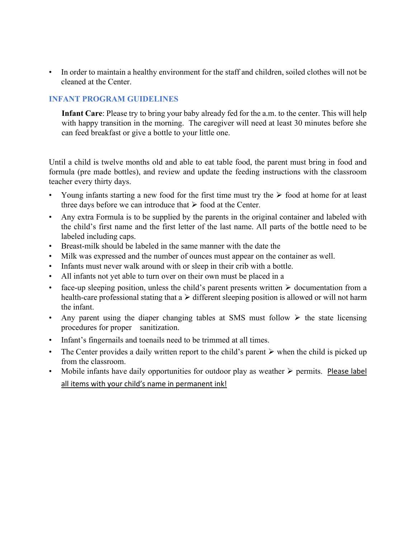• In order to maintain a healthy environment for the staff and children, soiled clothes will not be cleaned at the Center.

# **INFANT PROGRAM GUIDELINES**

**Infant Care**: Please try to bring your baby already fed for the a.m. to the center. This will help with happy transition in the morning. The caregiver will need at least 30 minutes before she can feed breakfast or give a bottle to your little one.

Until a child is twelve months old and able to eat table food, the parent must bring in food and formula (pre made bottles), and review and update the feeding instructions with the classroom teacher every thirty days.

- Young infants starting a new food for the first time must try the  $\triangleright$  food at home for at least three days before we can introduce that  $\triangleright$  food at the Center.
- Any extra Formula is to be supplied by the parents in the original container and labeled with the child's first name and the first letter of the last name. All parts of the bottle need to be labeled including caps.
- Breast-milk should be labeled in the same manner with the date the
- Milk was expressed and the number of ounces must appear on the container as well.
- Infants must never walk around with or sleep in their crib with a bottle.
- All infants not yet able to turn over on their own must be placed in a
- face-up sleeping position, unless the child's parent presents written  $\triangleright$  documentation from a health-care professional stating that  $a \triangleright$  different sleeping position is allowed or will not harm the infant.
- Any parent using the diaper changing tables at SMS must follow  $\triangleright$  the state licensing procedures for proper sanitization.
- Infant's fingernails and toenails need to be trimmed at all times.
- The Center provides a daily written report to the child's parent  $\triangleright$  when the child is picked up from the classroom.
- Mobile infants have daily opportunities for outdoor play as weather  $\triangleright$  permits. Please label all items with your child's name in permanent ink!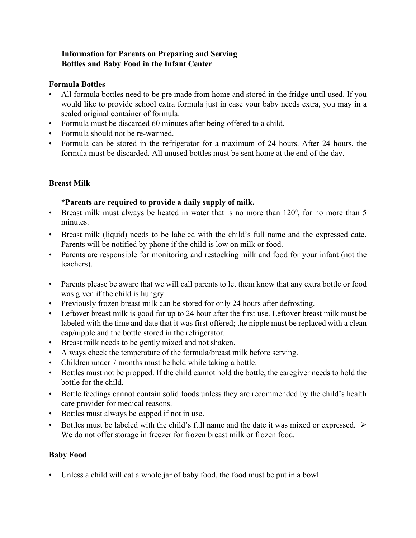# **Information for Parents on Preparing and Serving Bottles and Baby Food in the Infant Center**

#### **Formula Bottles**

- All formula bottles need to be pre made from home and stored in the fridge until used. If you would like to provide school extra formula just in case your baby needs extra, you may in a sealed original container of formula.
- Formula must be discarded 60 minutes after being offered to a child.
- Formula should not be re-warmed.
- Formula can be stored in the refrigerator for a maximum of 24 hours. After 24 hours, the formula must be discarded. All unused bottles must be sent home at the end of the day.

#### **Breast Milk**

#### **\*Parents are required to provide a daily supply of milk.**

- Breast milk must always be heated in water that is no more than 120°, for no more than 5 minutes.
- Breast milk (liquid) needs to be labeled with the child's full name and the expressed date. Parents will be notified by phone if the child is low on milk or food.
- Parents are responsible for monitoring and restocking milk and food for your infant (not the teachers).
- Parents please be aware that we will call parents to let them know that any extra bottle or food was given if the child is hungry.
- Previously frozen breast milk can be stored for only 24 hours after defrosting.
- Leftover breast milk is good for up to 24 hour after the first use. Leftover breast milk must be labeled with the time and date that it was first offered; the nipple must be replaced with a clean cap/nipple and the bottle stored in the refrigerator.
- Breast milk needs to be gently mixed and not shaken.
- Always check the temperature of the formula/breast milk before serving.
- Children under 7 months must be held while taking a bottle.
- Bottles must not be propped. If the child cannot hold the bottle, the caregiver needs to hold the bottle for the child.
- Bottle feedings cannot contain solid foods unless they are recommended by the child's health care provider for medical reasons.
- Bottles must always be capped if not in use.
- Bottles must be labeled with the child's full name and the date it was mixed or expressed.  $\triangleright$ We do not offer storage in freezer for frozen breast milk or frozen food.

#### **Baby Food**

• Unless a child will eat a whole jar of baby food, the food must be put in a bowl.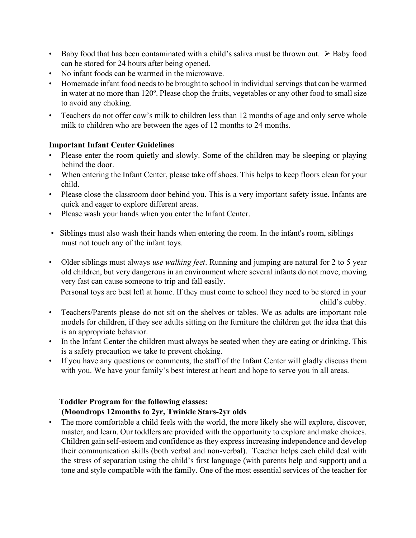- Baby food that has been contaminated with a child's saliva must be thrown out.  $\triangleright$  Baby food can be stored for 24 hours after being opened.
- No infant foods can be warmed in the microwave.
- Homemade infant food needs to be brought to school in individual servings that can be warmed in water at no more than 120º. Please chop the fruits, vegetables or any other food to small size to avoid any choking.
- Teachers do not offer cow's milk to children less than 12 months of age and only serve whole milk to children who are between the ages of 12 months to 24 months.

#### **Important Infant Center Guidelines**

- Please enter the room quietly and slowly. Some of the children may be sleeping or playing behind the door.
- When entering the Infant Center, please take off shoes. This helps to keep floors clean for your child.
- Please close the classroom door behind you. This is a very important safety issue. Infants are quick and eager to explore different areas.
- Please wash your hands when you enter the Infant Center.
- Siblings must also wash their hands when entering the room. In the infant's room, siblings must not touch any of the infant toys.
- Older siblings must always *use walking feet*. Running and jumping are natural for 2 to 5 year old children, but very dangerous in an environment where several infants do not move, moving very fast can cause someone to trip and fall easily.

Personal toys are best left at home. If they must come to school they need to be stored in your child's cubby.

- Teachers/Parents please do not sit on the shelves or tables. We as adults are important role models for children, if they see adults sitting on the furniture the children get the idea that this is an appropriate behavior.
- In the Infant Center the children must always be seated when they are eating or drinking. This is a safety precaution we take to prevent choking.
- If you have any questions or comments, the staff of the Infant Center will gladly discuss them with you. We have your family's best interest at heart and hope to serve you in all areas.

# **Toddler Program for the following classes: (Moondrops 12months to 2yr, Twinkle Stars-2yr olds**

• The more comfortable a child feels with the world, the more likely she will explore, discover, master, and learn. Our toddlers are provided with the opportunity to explore and make choices. Children gain self-esteem and confidence as they express increasing independence and develop their communication skills (both verbal and non-verbal). Teacher helps each child deal with the stress of separation using the child's first language (with parents help and support) and a tone and style compatible with the family. One of the most essential services of the teacher for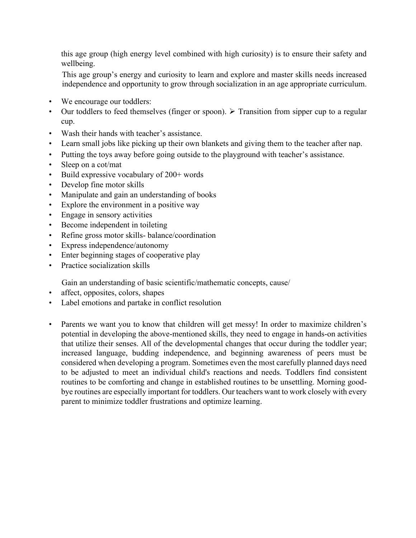this age group (high energy level combined with high curiosity) is to ensure their safety and wellbeing.

This age group's energy and curiosity to learn and explore and master skills needs increased independence and opportunity to grow through socialization in an age appropriate curriculum.

- We encourage our toddlers:
- Our toddlers to feed themselves (finger or spoon).  $\triangleright$  Transition from sipper cup to a regular cup.
- Wash their hands with teacher's assistance.
- Learn small jobs like picking up their own blankets and giving them to the teacher after nap.
- Putting the toys away before going outside to the playground with teacher's assistance.
- Sleep on a cot/mat
- Build expressive vocabulary of 200+ words
- Develop fine motor skills
- Manipulate and gain an understanding of books
- Explore the environment in a positive way
- Engage in sensory activities
- Become independent in toileting
- Refine gross motor skills- balance/coordination
- Express independence/autonomy
- Enter beginning stages of cooperative play
- Practice socialization skills

Gain an understanding of basic scientific/mathematic concepts, cause/

- affect, opposites, colors, shapes
- Label emotions and partake in conflict resolution
- Parents we want you to know that children will get messy! In order to maximize children's potential in developing the above-mentioned skills, they need to engage in hands-on activities that utilize their senses. All of the developmental changes that occur during the toddler year; increased language, budding independence, and beginning awareness of peers must be considered when developing a program. Sometimes even the most carefully planned days need to be adjusted to meet an individual child's reactions and needs. Toddlers find consistent routines to be comforting and change in established routines to be unsettling. Morning goodbye routines are especially important for toddlers. Our teachers want to work closely with every parent to minimize toddler frustrations and optimize learning.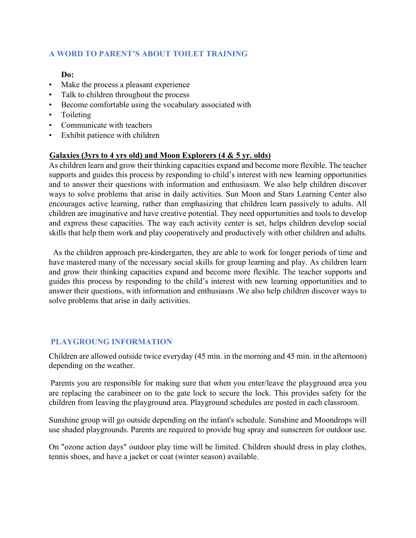#### **A WORD TO PARENT'S ABOUT TOILET TRAINING**

#### **Do:**

- Make the process a pleasant experience
- Talk to children throughout the process
- Become comfortable using the vocabulary associated with
- Toileting
- Communicate with teachers
- Exhibit patience with children

#### **Galaxies (3yrs to 4 yrs old) and Moon Explorers (4 & 5 yr. olds)**

As children learn and grow their thinking capacities expand and become more flexible. The teacher supports and guides this process by responding to child's interest with new learning opportunities and to answer their questions with information and enthusiasm. We also help children discover ways to solve problems that arise in daily activities. Sun Moon and Stars Learning Center also encourages active learning, rather than emphasizing that children learn passively to adults. All children are imaginative and have creative potential. They need opportunities and tools to develop and express these capacities. The way each activity center is set, helps children develop social skills that help them work and play cooperatively and productively with other children and adults.

 As the children approach pre-kindergarten, they are able to work for longer periods of time and have mastered many of the necessary social skills for group learning and play. As children learn and grow their thinking capacities expand and become more flexible. The teacher supports and guides this process by responding to the child's interest with new learning opportunities and to answer their questions, with information and enthusiasm .We also help children discover ways to solve problems that arise in daily activities.

#### **PLAYGROUNG INFORMATION**

Children are allowed outside twice everyday (45 min. in the morning and 45 min. in the afternoon) depending on the weather.

Parents you are responsible for making sure that when you enter/leave the playground area you are replacing the carabineer on to the gate lock to secure the lock. This provides safety for the children from leaving the playground area. Playground schedules are posted in each classroom.

Sunshine group will go outside depending on the infant's schedule. Sunshine and Moondrops will use shaded playgrounds. Parents are required to provide bug spray and sunscreen for outdoor use.

On "ozone action days" outdoor play time will be limited. Children should dress in play clothes, tennis shoes, and have a jacket or coat (winter season) available.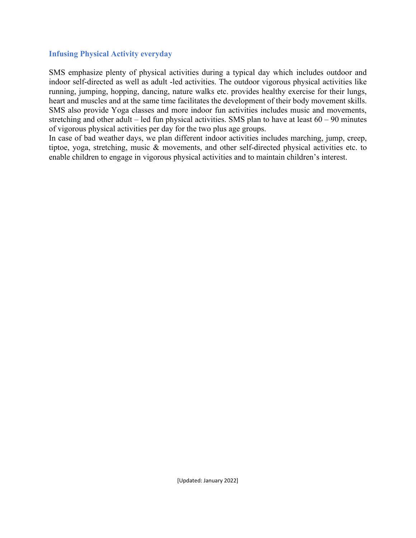#### **Infusing Physical Activity everyday**

SMS emphasize plenty of physical activities during a typical day which includes outdoor and indoor self-directed as well as adult -led activities. The outdoor vigorous physical activities like running, jumping, hopping, dancing, nature walks etc. provides healthy exercise for their lungs, heart and muscles and at the same time facilitates the development of their body movement skills. SMS also provide Yoga classes and more indoor fun activities includes music and movements, stretching and other adult – led fun physical activities. SMS plan to have at least  $60 - 90$  minutes of vigorous physical activities per day for the two plus age groups.

In case of bad weather days, we plan different indoor activities includes marching, jump, creep, tiptoe, yoga, stretching, music & movements, and other self-directed physical activities etc. to enable children to engage in vigorous physical activities and to maintain children's interest.